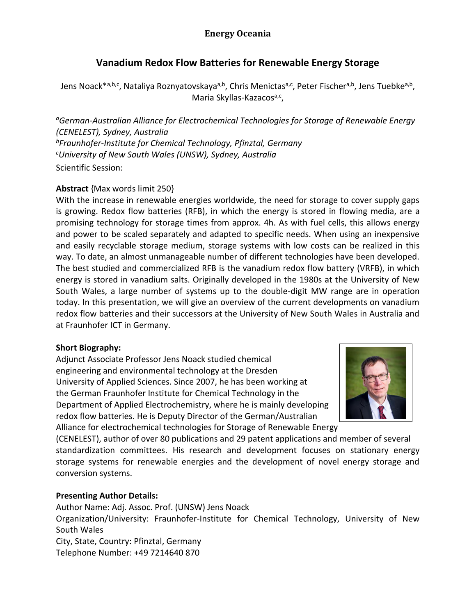## **Vanadium Redox Flow Batteries for Renewable Energy Storage**

Jens Noack<sup>\*a,b,c</sup>, Nataliya Roznyatovskaya<sup>a,b</sup>, Chris Menictas<sup>a,c</sup>, Peter Fischer<sup>a,b</sup>, Jens Tuebke<sup>a,b</sup>, Maria Skyllas-Kazacos<sup>a,c</sup>,

*<sup>a</sup>German-Australian Alliance for Electrochemical Technologies for Storage of Renewable Energy (CENELEST), Sydney, Australia <sup>b</sup>Fraunhofer-Institute for Chemical Technology, Pfinztal, Germany <sup>c</sup>University of New South Wales (UNSW), Sydney, Australia* Scientific Session:

### **Abstract** {Max words limit 250}

With the increase in renewable energies worldwide, the need for storage to cover supply gaps is growing. Redox flow batteries (RFB), in which the energy is stored in flowing media, are a promising technology for storage times from approx. 4h. As with fuel cells, this allows energy and power to be scaled separately and adapted to specific needs. When using an inexpensive and easily recyclable storage medium, storage systems with low costs can be realized in this way. To date, an almost unmanageable number of different technologies have been developed. The best studied and commercialized RFB is the vanadium redox flow battery (VRFB), in which energy is stored in vanadium salts. Originally developed in the 1980s at the University of New South Wales, a large number of systems up to the double-digit MW range are in operation today. In this presentation, we will give an overview of the current developments on vanadium redox flow batteries and their successors at the University of New South Wales in Australia and at Fraunhofer ICT in Germany.

### **Short Biography:**

Adjunct Associate Professor Jens Noack studied chemical engineering and environmental technology at the Dresden University of Applied Sciences. Since 2007, he has been working at the German Fraunhofer Institute for Chemical Technology in the Department of Applied Electrochemistry, where he is mainly developing redox flow batteries. He is Deputy Director of the German/Australian Alliance for electrochemical technologies for Storage of Renewable Energy



(CENELEST), author of over 80 publications and 29 patent applications and member of several standardization committees. His research and development focuses on stationary energy storage systems for renewable energies and the development of novel energy storage and conversion systems.

### **Presenting Author Details:**

Author Name: Adj. Assoc. Prof. (UNSW) Jens Noack Organization/University: Fraunhofer-Institute for Chemical Technology, University of New South Wales City, State, Country: Pfinztal, Germany Telephone Number: +49 7214640 870